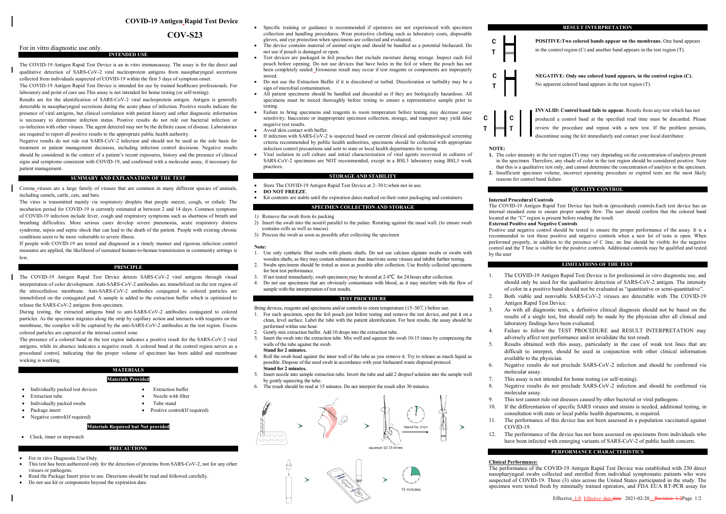# **COVID-19 Antigen Rapid Test Device**

# **COV-S23**

# For in vitro diagnostic use only.

The COVID-19 Antigen Rapid Test Device is an in vitro immunoassay. The assay is for the direct and qualitative detection of SARS-CoV-2 viral nucleoprotein antigens from nasopharyngeal secretions collected from individuals suspected of COVID-19 within the first 5 days of symptom onset.

**INTENDED USE**

The COVID-19 Antigen Rapid Test Device is intended for use by trained healthcare professionals. For laboratory and point of care use.This assay is not intended for home testing (or self-testing). Results are for the identification of SARS-CoV-2 viral nucleoprotein antigen. Antigen is generally

detectable in nasopharyngeal secretions during the acute phase of infection. Positive results indicate the presence of viral antigens, but clinical correlation with patient history and other diagnostic information is necessary to determine infection status. Positive results do not rule out bacterial infection or co-infection with other viruses. The agent detected may not be the definite cause of disease. Laboratories are required to report all positive results to the appropriate public health authority.

Negative results do not rule out SARS-CoV-2 infection and should not be used as the sole basis for treatment or patient management decisions, including infection control decisions. Negative results should be considered in the context of a patient's recent exposures, history and the presence of clinical signs and symptoms consistent with COVID-19, and confirmed with a molecular assay, if necessary for patient management.

### **SUMMARY AND EXPLANATION OF THE TEST**

Corona viruses are a large family of viruses that are common in many different species of animals, including camels, cattle, cats, and bats.

The virus is transmitted mainly via respiratory droplets that people sneeze, cough, or exhale. The incubation period for COVID-19 is currently estimated at between 2 and 14 days. Common symptoms of COVID-19 infection include fever, cough and respiratory symptoms such as shortness of breath and breathing difficulties. More serious cases develop severe pneumonia, acute respiratory distress syndrome, sepsis and septic shock that can lead to the death of the patient. People with existing chronic conditions seem to be more vulnerable to severe illness.

If people with COVID-19 are tested and diagnosed in a timely manner and rigorous infection control measures are applied, the likelihood of sustained human-to-human transmission in community settings is low.

### **PRINCIPLE**

The COVID-19 Antigen Rapid Test Device detects SARS-CoV-2 viral antigens through visual interpretation of color development. Anti-SARS-CoV-2 antibodies are immobilized on the test region of the nitrocellulose membrane. Anti-SARS-CoV-2 antibodies conjugated to colored particles are immobilized on the conjugated pad. A sample is added to the extraction buffer which is optimized to release the SARS-CoV-2 antigens from specimen.

During testing, the extracted antigens bind to anti-SARS-CoV-2 antibodies conjugated to colored particles. As the specimen migrates along the strip by capillary action and interacts with reagents on the membrane, the complex will be captured by the anti-SARS-CoV-2 antibodies at the test region. Excess colored particles are captured at the internal control zone.

The presence of a colored band in the test region indicates a positive result for the SARS-CoV-2 viral antigens, while its absence indicates a negative result. A colored band at the control region serves as a procedural control, indicating that the proper volume of specimen has been added and membrane wicking is working.

# **MATERIALS**

- **Materials Provided**
- Individually packed test devices Extraction buffer
- Extraction tube Nozzle with filter
- Individually packed swabs Tube stand
- 
- $\bullet$  Negative control(If required)

# **Materials Required but Not provided**

# • Clock, timer or stopwatch

- 
- For *in vitro* Diagnostic Use Only.
- This test has been authorized only for the detection of proteins from SARS-CoV-2, not for any other viruses or pathogens.

**PRECAUTIONS**

- Read the Package Insert prior to use. Directions should be read and followed carefully<br>• Do not use kit or components beyond the expiration date.
- Do not use kit or components beyond the expiration date.
- Specific training or guidance is recommended if operators are not experienced with specimen collection and handling procedures. Wear protective clothing such as laboratory coats, disposable gloves, and eye protection when specimens are collected and evaluated.
- The device contains material of animal origin and should be handled as a potential biohazard. Do not use if pouch is damaged or open.
- $\bullet$ Test devices are packaged in foil pouches that exclude moisture during storage. Inspect each foil pouch before opening. Do not use devices that have holes in the foil or where the pouch has not been completely sealed. Erroneous result may occur if test reagents or components are improperly stored.
- Do not use the Extraction Buffer if it is discolored or turbid. Discoloration or turbidity may be a sign of microbial contamination.
- All patient specimens should be handled and discarded as if they are biologically hazardous. All specimens must be mixed thoroughly before testing to ensure a representative sample prior to testing.
- Failure to bring specimens and reagents to room temperature before testing may decrease assay sensitivity. Inaccurate or inappropriate specimen collection, storage, and transport may yield false negative test results.
- Avoid skin contact with buffer.
- Avoid skin contact with buffer.<br>• If infection with SARS-CoV-2 is suspected based on current clinical and epidemiological screening criteria recommended by public health authorities, specimens should be collected with appropriate infection control precautions and sent to state or local health departments for testing.
- $\bullet$ Viral isolation in cell culture and initial characterization of viral agents recovered in cultures of SARS-CoV-2 specimens are NOT recommended, except in a BSL3 laboratory using BSL3 work practices.

# **STORAGE AND STABILITY**

- $\bullet$ Store The COVID-19 Antigen Rapid Test Device at 2~30℃when not in use.
- $\bullet$ **DO NOT FREEZE**.
- $\bullet$ Kit contents are stable until the expiration dates marked on their outer packaging and containers.

### **SPECIMEN COLLECTION AND STORAGE**

- 1) Remove the swab from its packing
- 1) Remove the swab from its packing<br>2) Insert the swab into the nostril parallel to the palate. Rotating against the nasal wall. (to ensure swab contains cells as well as mucus)
- 3) Process the swab as soon as possible after collecting the specimen

### **Note:**

- 3) Process the swab as soon as possible after collecting the specimen<br>Note:<br>1. Use only synthetic fiber swabs with plastic shafts. Do not use calcium alginate swabs or swabs with wooden shafts, as they may contain substances that inactivate some viruses and inhibit further testing.
- 2. Swabs specimens should be tested as soon as possible after collection. Use freshly collected specimens for best test performance.
- 3. If not tested immediately, swab specimens may be stored at 2-8℃ for 24 hours after collection.
- 4. Do not use specimens that are obviously contaminate with blood, as it may interfere with the flow of sample with the interpretation of test results.

### **TEST PROCEDURE**

- Bring devices, reagents and specimens and/or controls to room temperature (15~30℃) before use. 1. For each specimen, open the foil pouch just before testing and remove the test device, and put it on a clean, level surface. Label the tube with the patient identification. For best results, the assay should be performed within one hour.
- Gently mix extraction buffer. Add 10 drops into the extraction tube.
- 2. 3. Insert the swab into the extraction tube. Mix well and squeeze the swab 10-15 times by compressing the walls of the tube against the swab.

# **Stand for 2 minutes.**

- 4. Roll the swab head against the inner wall of the tube as you remove it. Try to release as much liquid as possible. Dispose of the used swab in accordance with your biohazard waste disposal protocol. **Stand for 2 minutes.**
- 5. Insert nozzle into sample extraction tube. Invert the tube and add 2 dropsof solution into the sample well by gently squeezing the tube.
- 6. The result should be read at 15 minutes. Do not interpret the result after 30 minutes.



15 minutes



**POSITIVE:Two colored bands appear on the membrane.** One band appears in the control region  $(C)$  and another band appears in the test region  $(T)$ .

**NEGATIVE: Only one colored band appears, in the control region (C).**  No apparent colored band appears in the test region (T).



**NOTE:** 

C T

C T

 $\mathbf{C}$ T

- **1.** The color intensity in the test region (T) may vary depending on the concentration of analytes present in the specimen. Therefore, any shade of color in the test region should be considered positive. Note that this is a qualitative test only, and cannot determine the concentration of analytes in the specimen.
- in the specimen. Therefore, any shade of color in the test region should be considered positive. Note<br>that this is a qualitative test only, and cannot determine the concentration of analytes in the specimen.<br>**2.** Insuffici
	- reasons for control band failure.

# **QUALITY CONTROL**

## **Internal Procedural Controls**

The COVID-19 Antigen Rapid Test Device has built-in (procedural) controls.Each test device has an internal standard zone to ensure proper sample flow. The user should confirm that the colored band located at the "C" region is present before reading the result.

#### **External Positive and Negative Controls and**

Positive and negative control should be tested to ensure the proper performance of the assay. It is a recommended to test those positive and negative controls when a new lot of tests is open. When recommended to test those positive and negative controls when a new lot of tests is open. When<br>performed properly, in addition to the presence of C line, no line should be visible for the negative control and the T line is visible for the positive controls. Additional controls may be qualified and tested by the user

## **LIMITATIONS OF THE TEST**

- 1. The COVID The COVID-19 Antigen Rapid Test Device is for professional *in vitro* diagnostic use, and should only be used for the qualitative detection of SARS-CoV-2 antigen. The intensity of color in a positive band should not be evaluated as "quantitative or semi-quantitative".
- 2. Both viable and nonviable SARS-CoV-2 viruses are detectable with The COVID-19 Antigen Ra Rapid Test Device.
- 3. As with all diagnostic tests, a definitive clinical diagnosis should not be based on the results of a single test, but should only be made by the physician after all clinical and laboratory findings have been evaluated. As with all diagnostic tests, a definitive clinical diagnosis should not be based on the results of a single test, but should only be made by the physician after all clinical and laboratory findings have been evaluated.<br>Ia
- 4. Failure to follow the TEST PROCEDURE and RESULT INTERPRETATION may adversely affect test performance and/or invalidate the test result.
- 5. Results obtained with this assay, particularly in the case of weak test lines that are Results obtained with this assay, particularly in the case of weak test lines that are difficult to interpret, should be used in conjunction with other clinical information available to the physician.
- available to the physician.<br>6. Negative results do not preclude SARS-CoV-2 infection and should be confirmed via molecular assay.
- 7. This assay is not intended for home testing (or self-testing).
- 8. Negative results do not preclude SARS-CoV-2 infection and should be confirmed via molecular assay.
- 9. This test cannot rule out diseases caused by other bacterial or viral pathogens.<br>10. If the differentiation of specific SARS viruses and strains is needed addition
- 10. If the differentiation of specific SARS viruses and strains is needed, additional testing, in consultation with state or local public health departments, is required. molecular assay.<br>This test cannot rule out diseases caused by other bacterial or viral pathogens.<br>If the differentiation of specific SARS viruses and strains is needed, additional testing,<br>consultation with state or local
- 11. The performance of this device has not been assessed in a population vaccinated against  $COVID-19$ .
- 12. The performance of the device has not been assessed on specimens from individuals who have been infected with emerging variants of SARS-CoV-2 of public health concern. 19.<br>ormance of the device has not been assessed on specimens from individuals<br>n infected with emerging variants of SARS-CoV-2 of public health concern.

### **PERFORMANCE CHARACTERISTICS**

### **Clinical Performance Performance:**

The performance of the COVID-19 Antigen Rapid Test Device was established with 230 direct nasopharyngeal swabs collected and enrolled from individual symptomatic patients who were nasopharyngeal swabs collected and enrolled from individual symptomatic patients who were<br>suspected of COVID-19. Three (3) sites across the United States participated in the study. The specimen were tested fresh by minimally trained operators, and FDA EUA RT-PCR assay for

- 
- 
- Positive control(If required)
-